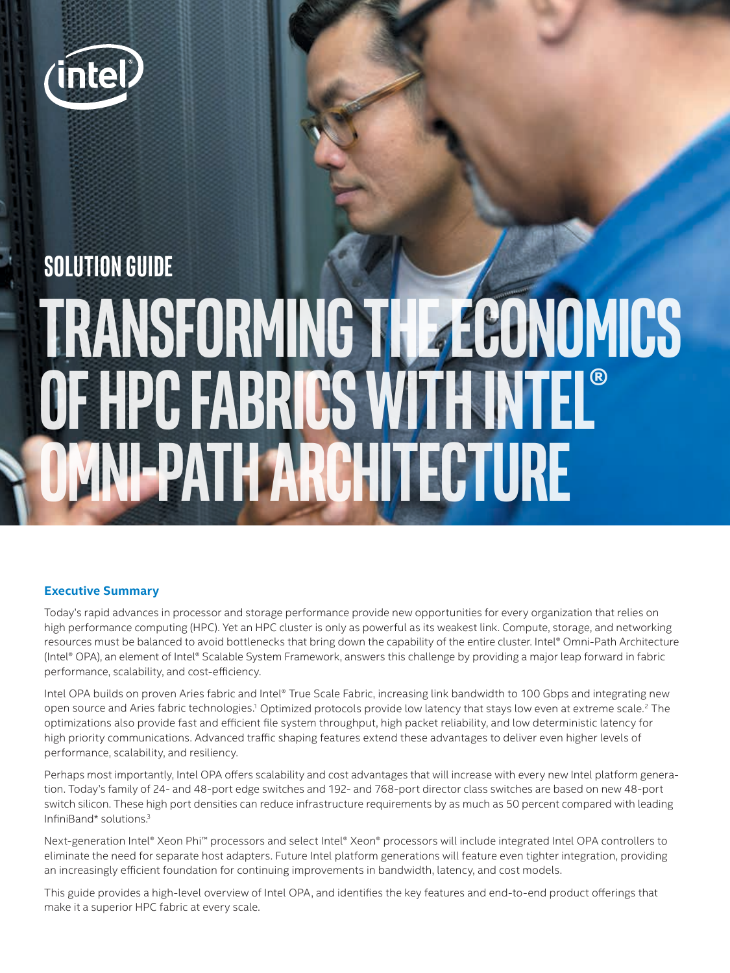

# **SOLUTION GUIDE Transforming the Economics of HPCFabrics with Intel® Omni-Path Architecture**

# **Executive Summary**

Today's rapid advances in processor and storage performance provide new opportunities for every organization that relies on high performance computing (HPC). Yet an HPC cluster is only as powerful as its weakest link. Compute, storage, and networking resources must be balanced to avoid bottlenecks that bring down the capability of the entire cluster. Intel® Omni-Path Architecture (Intel® OPA), an element of Intel® Scalable System Framework, answers this challenge by providing a major leap forward in fabric performance, scalability, and cost-efficiency.

Intel OPA builds on proven Aries fabric and Intel® True Scale Fabric, increasing link bandwidth to 100 Gbps and integrating new open source and Aries fabric technologies.<sup>1</sup> Optimized protocols provide low latency that stays low even at extreme scale.<sup>2</sup> The optimizations also provide fast and efficient file system throughput, high packet reliability, and low deterministic latency for high priority communications. Advanced traffic shaping features extend these advantages to deliver even higher levels of performance, scalability, and resiliency.

Perhaps most importantly, Intel OPA offers scalability and cost advantages that will increase with every new Intel platform generation. Today's family of 24- and 48-port edge switches and 192- and 768-port director class switches are based on new 48-port switch silicon. These high port densities can reduce infrastructure requirements by as much as 50 percent compared with leading InfiniBand\* solutions.<sup>3</sup>

Next-generation Intel® Xeon Phi™ processors and select Intel® Xeon® processors will include integrated Intel OPA controllers to eliminate the need for separate host adapters. Future Intel platform generations will feature even tighter integration, providing an increasingly efficient foundation for continuing improvements in bandwidth, latency, and cost models.

This guide provides a high-level overview of Intel OPA, and identifies the key features and end-to-end product offerings that make it a superior HPC fabric at every scale.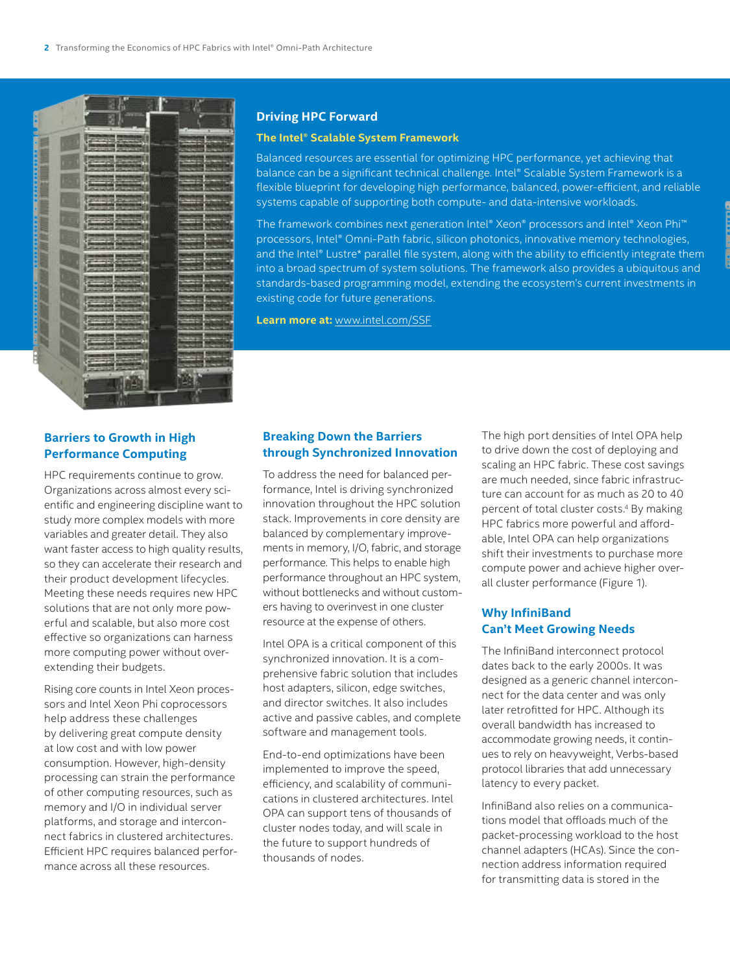

#### **Driving HPC Forward**

#### **The Intel® Scalable System Framework**

Balanced resources are essential for optimizing HPC performance, yet achieving that balance can be a significant technical challenge. Intel® Scalable System Framework is a flexible blueprint for developing high performance, balanced, power-efficient, and reliable systems capable of supporting both compute- and data-intensive workloads.

The framework combines next generation Intel® Xeon® processors and Intel® Xeon Phi™ processors, Intel® Omni-Path fabric, silicon photonics, innovative memory technologies, and the Intel® Lustre\* parallel file system, along with the ability to efficiently integrate them into a broad spectrum of system solutions. The framework also provides a ubiquitous and standards-based programming model, extending the ecosystem's current investments in existing code for future generations.

**Learn more at:** www.intel.com/SSF

## **Barriers to Growth in High Performance Computing**

HPC requirements continue to grow. Organizations across almost every scientific and engineering discipline want to study more complex models with more variables and greater detail. They also want faster access to high quality results, so they can accelerate their research and their product development lifecycles. Meeting these needs requires new HPC solutions that are not only more powerful and scalable, but also more cost effective so organizations can harness more computing power without overextending their budgets.

Rising core counts in Intel Xeon processors and Intel Xeon Phi coprocessors help address these challenges by delivering great compute density at low cost and with low power consumption. However, high-density processing can strain the performance of other computing resources, such as memory and I/O in individual server platforms, and storage and interconnect fabrics in clustered architectures. Efficient HPC requires balanced performance across all these resources.

## **Breaking Down the Barriers through Synchronized Innovation**

To address the need for balanced performance, Intel is driving synchronized innovation throughout the HPC solution stack. Improvements in core density are balanced by complementary improvements in memory, I/O, fabric, and storage performance. This helps to enable high performance throughout an HPC system, without bottlenecks and without customers having to overinvest in one cluster resource at the expense of others.

Intel OPA is a critical component of this synchronized innovation. It is a comprehensive fabric solution that includes host adapters, silicon, edge switches, and director switches. It also includes active and passive cables, and complete software and management tools.

End-to-end optimizations have been implemented to improve the speed, efficiency, and scalability of communications in clustered architectures. Intel OPA can support tens of thousands of cluster nodes today, and will scale in the future to support hundreds of thousands of nodes.

The high port densities of Intel OPA help to drive down the cost of deploying and scaling an HPC fabric. These cost savings are much needed, since fabric infrastructure can account for as much as 20 to 40 percent of total cluster costs.4 By making HPC fabrics more powerful and affordable, Intel OPA can help organizations shift their investments to purchase more compute power and achieve higher overall cluster performance (Figure 1).

## **Why InfiniBand Can't Meet Growing Needs**

The InfiniBand interconnect protocol dates back to the early 2000s. It was designed as a generic channel interconnect for the data center and was only later retrofitted for HPC. Although its overall bandwidth has increased to accommodate growing needs, it continues to rely on heavyweight, Verbs-based protocol libraries that add unnecessary latency to every packet.

InfiniBand also relies on a communications model that offloads much of the packet-processing workload to the host channel adapters (HCAs). Since the connection address information required for transmitting data is stored in the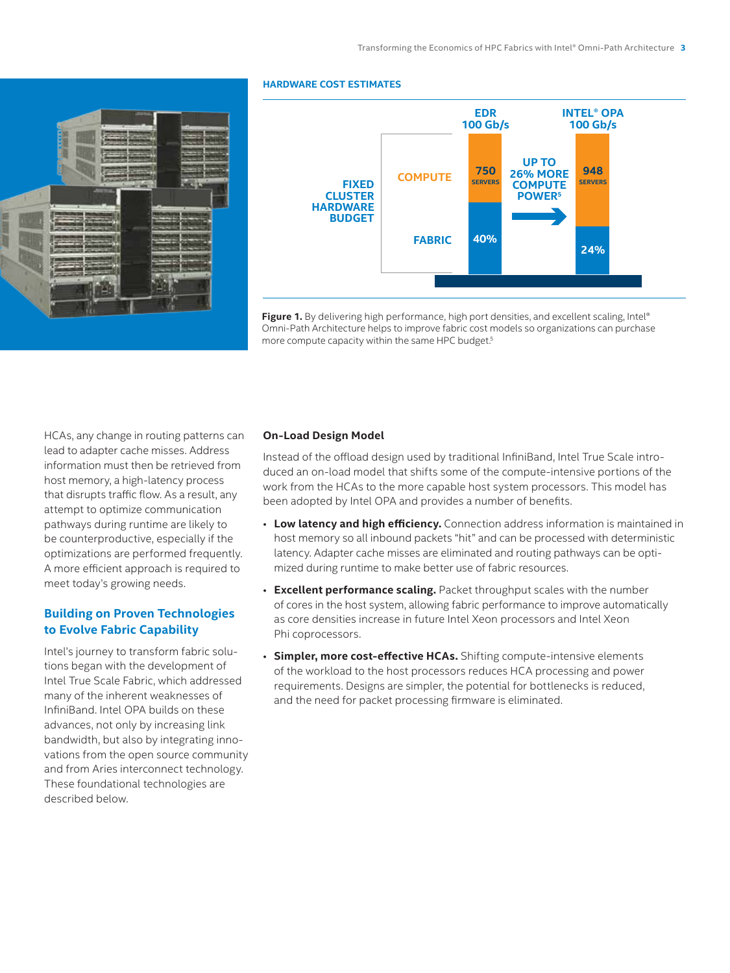

#### **HARDWARE COST ESTIMATES**



Figure 1. By delivering high performance, high port densities, and excellent scaling, Intel® Omni-Path Architecture helps to improve fabric cost models so organizations can purchase more compute capacity within the same HPC budget.<sup>5</sup>

HCAs, any change in routing patterns can lead to adapter cache misses. Address information must then be retrieved from host memory, a high-latency process that disrupts traffic flow. As a result, any attempt to optimize communication pathways during runtime are likely to be counterproductive, especially if the optimizations are performed frequently. A more efficient approach is required to meet today's growing needs.

## **Building on Proven Technologies to Evolve Fabric Capability**

Intel's journey to transform fabric solutions began with the development of Intel True Scale Fabric, which addressed many of the inherent weaknesses of InfiniBand. Intel OPA builds on these advances, not only by increasing link bandwidth, but also by integrating innovations from the open source community and from Aries interconnect technology. These foundational technologies are described below.

#### **On-Load Design Model**

Instead of the offload design used by traditional InfiniBand, Intel True Scale introduced an on-load model that shifts some of the compute-intensive portions of the work from the HCAs to the more capable host system processors. This model has been adopted by Intel OPA and provides a number of benefits.

- **Low latency and high efficiency.** Connection address information is maintained in host memory so all inbound packets "hit" and can be processed with deterministic latency. Adapter cache misses are eliminated and routing pathways can be optimized during runtime to make better use of fabric resources.
- **Excellent performance scaling.** Packet throughput scales with the number of cores in the host system, allowing fabric performance to improve automatically as core densities increase in future Intel Xeon processors and Intel Xeon Phi coprocessors.
- **Simpler, more cost-effective HCAs.** Shifting compute-intensive elements of the workload to the host processors reduces HCA processing and power requirements. Designs are simpler, the potential for bottlenecks is reduced, and the need for packet processing firmware is eliminated.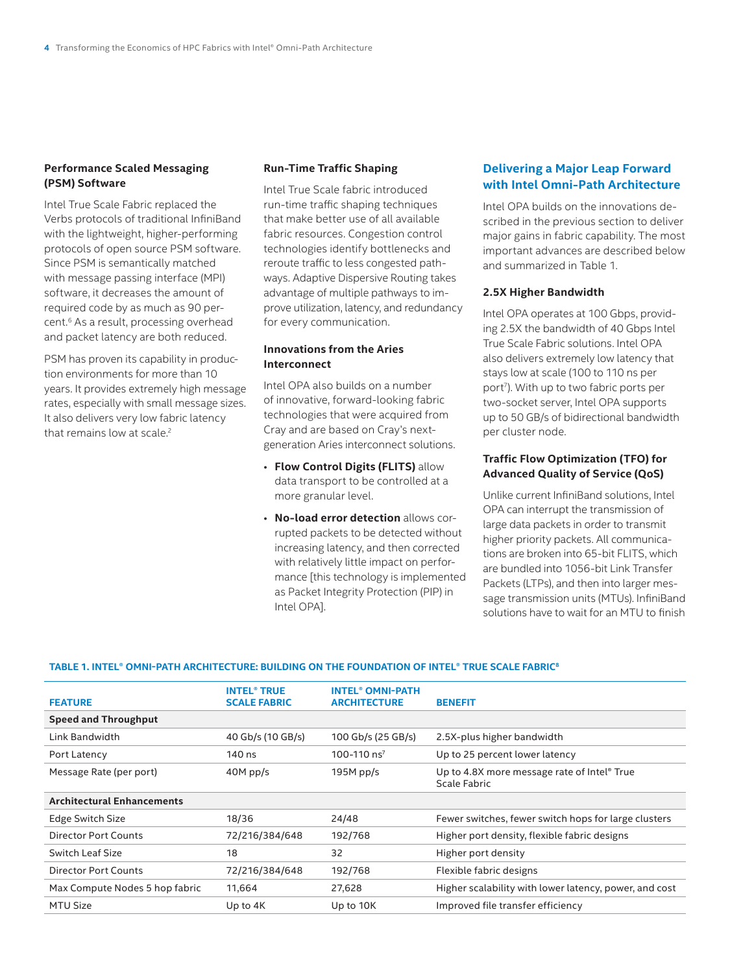#### **Performance Scaled Messaging (PSM) Software**

Intel True Scale Fabric replaced the Verbs protocols of traditional InfiniBand with the lightweight, higher-performing protocols of open source PSM software. Since PSM is semantically matched with message passing interface (MPI) software, it decreases the amount of required code by as much as 90 percent.6 As a result, processing overhead and packet latency are both reduced.

PSM has proven its capability in production environments for more than 10 years. It provides extremely high message rates, especially with small message sizes. It also delivers very low fabric latency that remains low at scale.<sup>2</sup>

#### **Run-Time Traffic Shaping**

Intel True Scale fabric introduced run-time traffic shaping techniques that make better use of all available fabric resources. Congestion control technologies identify bottlenecks and reroute traffic to less congested pathways. Adaptive Dispersive Routing takes advantage of multiple pathways to improve utilization, latency, and redundancy for every communication.

## **Innovations from the Aries Interconnect**

Intel OPA also builds on a number of innovative, forward-looking fabric technologies that were acquired from Cray and are based on Cray's nextgeneration Aries interconnect solutions.

- **Flow Control Digits (FLITS)** allow data transport to be controlled at a more granular level.
- **No-load error detection** allows corrupted packets to be detected without increasing latency, and then corrected with relatively little impact on performance [this technology is implemented as Packet Integrity Protection (PIP) in Intel OPA].

## **Delivering a Major Leap Forward with Intel Omni-Path Architecture**

Intel OPA builds on the innovations described in the previous section to deliver major gains in fabric capability. The most important advances are described below and summarized in Table 1.

#### **2.5X Higher Bandwidth**

Intel OPA operates at 100 Gbps, providing 2.5X the bandwidth of 40 Gbps Intel True Scale Fabric solutions. Intel OPA also delivers extremely low latency that stays low at scale (100 to 110 ns per port7). With up to two fabric ports per two-socket server, Intel OPA supports up to 50 GB/s of bidirectional bandwidth per cluster node.

## **Traffic Flow Optimization (TFO) for Advanced Quality of Service (QoS)**

Unlike current InfiniBand solutions, Intel OPA can interrupt the transmission of large data packets in order to transmit higher priority packets. All communications are broken into 65-bit FLITS, which are bundled into 1056-bit Link Transfer Packets (LTPs), and then into larger message transmission units (MTUs). InfiniBand solutions have to wait for an MTU to finish

#### **TABLE 1. INTEL® OMNI-PATH ARCHITECTURE: BUILDING ON THE FOUNDATION OF INTEL® TRUE SCALE FABRIC<sup>8</sup>**

| <b>FEATURE</b>                    | <b>INTEL<sup>®</sup> TRUE</b><br><b>SCALE FABRIC</b> | <b>INTEL<sup>®</sup> OMNI-PATH</b><br><b>ARCHITECTURE</b> | <b>BENEFIT</b>                                              |
|-----------------------------------|------------------------------------------------------|-----------------------------------------------------------|-------------------------------------------------------------|
| <b>Speed and Throughput</b>       |                                                      |                                                           |                                                             |
| Link Bandwidth                    | 40 Gb/s (10 GB/s)                                    | 100 Gb/s (25 GB/s)                                        | 2.5X-plus higher bandwidth                                  |
| Port Latency                      | 140 ns                                               | 100-110 ns <sup>7</sup>                                   | Up to 25 percent lower latency                              |
| Message Rate (per port)           | $40M$ pp/s                                           | 195M $pp/s$                                               | Up to 4.8X more message rate of Intel® True<br>Scale Fabric |
| <b>Architectural Enhancements</b> |                                                      |                                                           |                                                             |
| Edge Switch Size                  | 18/36                                                | 24/48                                                     | Fewer switches, fewer switch hops for large clusters        |
| Director Port Counts              | 72/216/384/648                                       | 192/768                                                   | Higher port density, flexible fabric designs                |
| Switch Leaf Size                  | 18                                                   | 32                                                        | Higher port density                                         |
| Director Port Counts              | 72/216/384/648                                       | 192/768                                                   | Flexible fabric designs                                     |
| Max Compute Nodes 5 hop fabric    | 11,664                                               | 27,628                                                    | Higher scalability with lower latency, power, and cost      |
| <b>MTU Size</b>                   | Up to 4K                                             | Up to 10K                                                 | Improved file transfer efficiency                           |
|                                   |                                                      |                                                           |                                                             |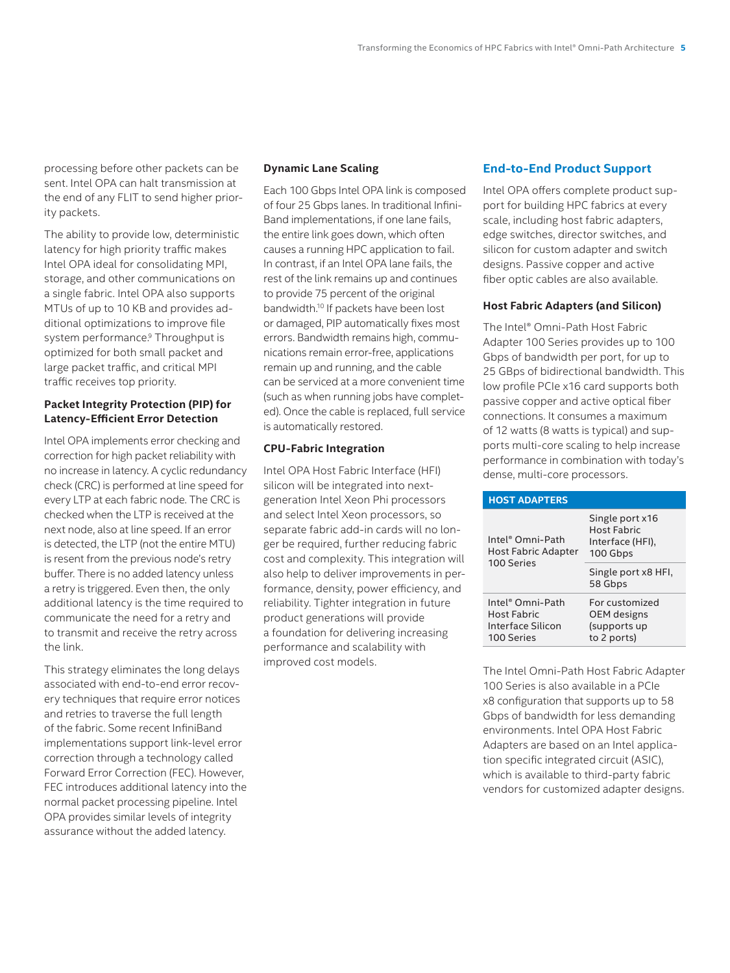processing before other packets can be sent. Intel OPA can halt transmission at the end of any FLIT to send higher priority packets.

The ability to provide low, deterministic latency for high priority traffic makes Intel OPA ideal for consolidating MPI, storage, and other communications on a single fabric. Intel OPA also supports MTUs of up to 10 KB and provides additional optimizations to improve file system performance.<sup>9</sup> Throughput is optimized for both small packet and large packet traffic, and critical MPI traffic receives top priority.

## **Packet Integrity Protection (PIP) for Latency-Efficient Error Detection**

Intel OPA implements error checking and correction for high packet reliability with no increase in latency. A cyclic redundancy check (CRC) is performed at line speed for every LTP at each fabric node. The CRC is checked when the LTP is received at the next node, also at line speed. If an error is detected, the LTP (not the entire MTU) is resent from the previous node's retry buffer. There is no added latency unless a retry is triggered. Even then, the only additional latency is the time required to communicate the need for a retry and to transmit and receive the retry across the link.

This strategy eliminates the long delays associated with end-to-end error recovery techniques that require error notices and retries to traverse the full length of the fabric. Some recent InfiniBand implementations support link-level error correction through a technology called Forward Error Correction (FEC). However, FEC introduces additional latency into the normal packet processing pipeline. Intel OPA provides similar levels of integrity assurance without the added latency.

#### **Dynamic Lane Scaling**

Each 100 Gbps Intel OPA link is composed of four 25 Gbps lanes. In traditional Infini-Band implementations, if one lane fails, the entire link goes down, which often causes a running HPC application to fail. In contrast, if an Intel OPA lane fails, the rest of the link remains up and continues to provide 75 percent of the original bandwidth.10 If packets have been lost or damaged, PIP automatically fixes most errors. Bandwidth remains high, communications remain error-free, applications remain up and running, and the cable can be serviced at a more convenient time (such as when running jobs have completed). Once the cable is replaced, full service is automatically restored.

#### **CPU-Fabric Integration**

Intel OPA Host Fabric Interface (HFI) silicon will be integrated into nextgeneration Intel Xeon Phi processors and select Intel Xeon processors, so separate fabric add-in cards will no longer be required, further reducing fabric cost and complexity. This integration will also help to deliver improvements in performance, density, power efficiency, and reliability. Tighter integration in future product generations will provide a foundation for delivering increasing performance and scalability with improved cost models.

## **End-to-End Product Support**

Intel OPA offers complete product support for building HPC fabrics at every scale, including host fabric adapters, edge switches, director switches, and silicon for custom adapter and switch designs. Passive copper and active fiber optic cables are also available.

#### **Host Fabric Adapters (and Silicon)**

The Intel® Omni-Path Host Fabric Adapter 100 Series provides up to 100 Gbps of bandwidth per port, for up to 25 GBps of bidirectional bandwidth. This low profile PCIe x16 card supports both passive copper and active optical fiber connections. It consumes a maximum of 12 watts (8 watts is typical) and supports multi-core scaling to help increase performance in combination with today's dense, multi-core processors.

| <b>HOST ADAPTERS</b>                                                           |                                                                       |  |
|--------------------------------------------------------------------------------|-----------------------------------------------------------------------|--|
| Intel <sup>®</sup> Omni-Path<br>Host Fabric Adapter<br>100 Series              | Single port x16<br><b>Host Fabric</b><br>Interface (HFI),<br>100 Gbps |  |
|                                                                                | Single port x8 HFI,<br>58 Gbps                                        |  |
| Intel <sup>®</sup> Omni-Path<br>Host Fabric<br>Interface Silicon<br>100 Series | For customized<br>OEM designs<br>(supports up<br>to 2 ports)          |  |

The Intel Omni-Path Host Fabric Adapter 100 Series is also available in a PCIe x8 configuration that supports up to 58 Gbps of bandwidth for less demanding environments. Intel OPA Host Fabric Adapters are based on an Intel application specific integrated circuit (ASIC), which is available to third-party fabric vendors for customized adapter designs.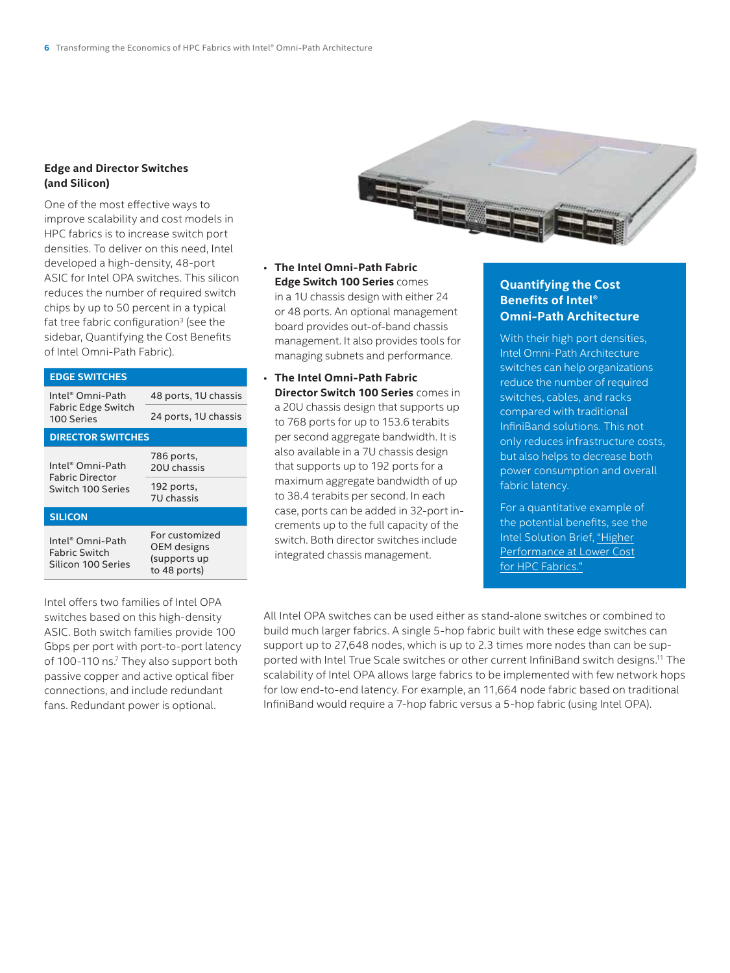## **Edge and Director Switches (and Silicon)**

One of the most effective ways to improve scalability and cost models in HPC fabrics is to increase switch port densities. To deliver on this need, Intel developed a high-density, 48-port ASIC for Intel OPA switches. This silicon reduces the number of required switch chips by up to 50 percent in a typical fat tree fabric configuration<sup>3</sup> (see the sidebar, Quantifying the Cost Benefits of Intel Omni-Path Fabric).

| <b>EDGE SWITCHES</b>                                    |                                                               |  |  |  |
|---------------------------------------------------------|---------------------------------------------------------------|--|--|--|
| Intel® Omni-Path                                        | 48 ports, 1U chassis                                          |  |  |  |
| <b>Fabric Edge Switch</b><br>100 Series                 | 24 ports, 1U chassis                                          |  |  |  |
| <b>DIRECTOR SWITCHES</b>                                |                                                               |  |  |  |
| Intel® Omni-Path<br>Fabric Director                     | 786 ports,<br>20U chassis                                     |  |  |  |
| Switch 100 Series                                       | 192 ports,<br>7U chassis                                      |  |  |  |
| <b>SILICON</b>                                          |                                                               |  |  |  |
| Intel® Omni-Path<br>Fabric Switch<br>Silicon 100 Series | For customized<br>OEM designs<br>(supports up<br>to 48 ports) |  |  |  |

Intel offers two families of Intel OPA switches based on this high-density ASIC. Both switch families provide 100 Gbps per port with port-to-port latency of 100-110 ns.7 They also support both passive copper and active optical fiber connections, and include redundant fans. Redundant power is optional.



- **The Intel Omni-Path Fabric Edge Switch 100 Series** comes in a 1U chassis design with either 24 or 48 ports. An optional management board provides out-of-band chassis management. It also provides tools for managing subnets and performance.
- **The Intel Omni-Path Fabric Director Switch 100 Series** comes in a 20U chassis design that supports up to 768 ports for up to 153.6 terabits per second aggregate bandwidth. It is also available in a 7U chassis design that supports up to 192 ports for a maximum aggregate bandwidth of up to 38.4 terabits per second. In each case, ports can be added in 32-port increments up to the full capacity of the switch. Both director switches include integrated chassis management.

## **Quantifying the Cost Benefits of Intel® Omni-Path Architecture**

With their high port densities, Intel Omni-Path Architecture switches can help organizations reduce the number of required switches, cables, and racks compared with traditional InfiniBand solutions. This not only reduces infrastructure costs, but also helps to decrease both power consumption and overall fabric latency.

For a quantitative example of the potential benefits, see the Intel Solution Brief, "Higher Performance at Lower Cost for HPC Fabrics."

All Intel OPA switches can be used either as stand-alone switches or combined to build much larger fabrics. A single 5-hop fabric built with these edge switches can support up to 27,648 nodes, which is up to 2.3 times more nodes than can be supported with Intel True Scale switches or other current InfiniBand switch designs.11 The scalability of Intel OPA allows large fabrics to be implemented with few network hops for low end-to-end latency. For example, an 11,664 node fabric based on traditional InfiniBand would require a 7-hop fabric versus a 5-hop fabric (using Intel OPA).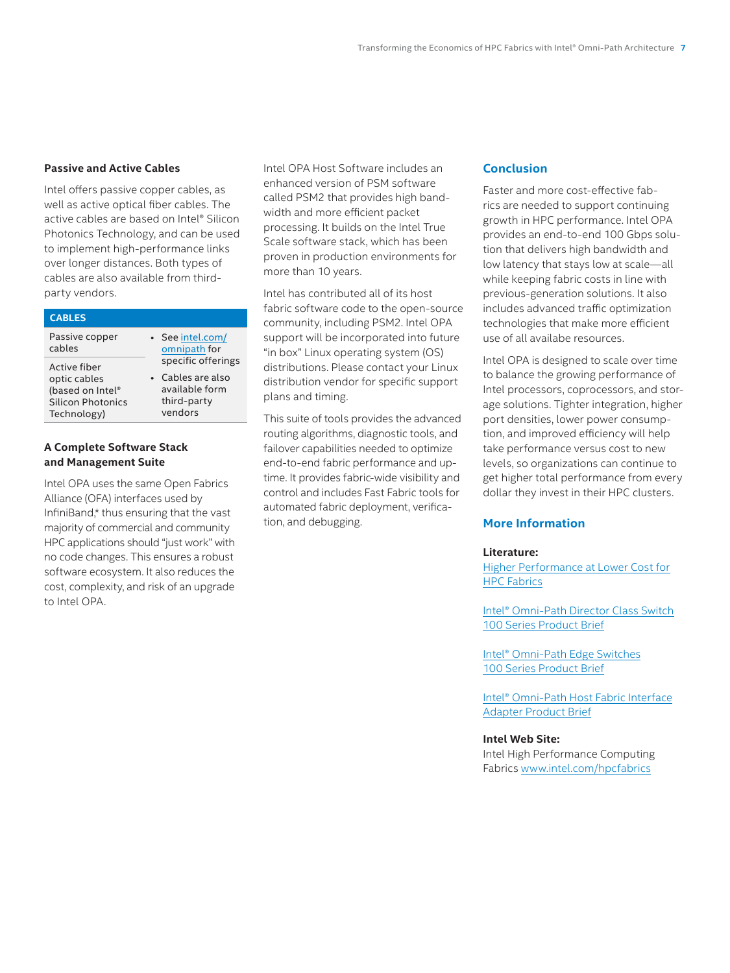#### **Passive and Active Cables**

Intel offers passive copper cables, as well as active optical fiber cables. The active cables are based on Intel® Silicon Photonics Technology, and can be used to implement high-performance links over longer distances. Both types of cables are also available from thirdparty vendors.

| <b>CABLES</b>                                                               |                                                               |
|-----------------------------------------------------------------------------|---------------------------------------------------------------|
| Passive copper<br>cables                                                    | • See intel.com/<br>omnipath for<br>specific offerings        |
| Active fiber                                                                |                                                               |
| optic cables<br>(based on Intel®<br><b>Silicon Photonics</b><br>Technology) | • Cables are also<br>available form<br>third-party<br>vendors |

#### **A Complete Software Stack and Management Suite**

Intel OPA uses the same Open Fabrics Alliance (OFA) interfaces used by InfiniBand,\* thus ensuring that the vast majority of commercial and community HPC applications should "just work" with no code changes. This ensures a robust software ecosystem. It also reduces the cost, complexity, and risk of an upgrade to Intel OPA.

Intel OPA Host Software includes an enhanced version of PSM software called PSM2 that provides high bandwidth and more efficient packet processing. It builds on the Intel True Scale software stack, which has been proven in production environments for more than 10 years.

Intel has contributed all of its host fabric software code to the open-source community, including PSM2. Intel OPA support will be incorporated into future "in box" Linux operating system (OS) distributions. Please contact your Linux distribution vendor for specific support plans and timing.

This suite of tools provides the advanced routing algorithms, diagnostic tools, and failover capabilities needed to optimize end-to-end fabric performance and uptime. It provides fabric-wide visibility and control and includes Fast Fabric tools for automated fabric deployment, verification, and debugging.

## **Conclusion**

Faster and more cost-effective fabrics are needed to support continuing growth in HPC performance. Intel OPA provides an end-to-end 100 Gbps solution that delivers high bandwidth and low latency that stays low at scale—all while keeping fabric costs in line with previous-generation solutions. It also includes advanced traffic optimization technologies that make more efficient use of all availabe resources.

Intel OPA is designed to scale over time to balance the growing performance of Intel processors, coprocessors, and storage solutions. Tighter integration, higher port densities, lower power consumption, and improved efficiency will help take performance versus cost to new levels, so organizations can continue to get higher total performance from every dollar they invest in their HPC clusters.

## **More Information**

#### **Literature:**

Higher Performance at Lower Cost for HPC Fabrics

Intel® Omni-Path Director Class Switch 100 Series Product Brief

Intel® Omni-Path Edge Switches 100 Series Product Brief

Intel® Omni-Path Host Fabric Interface Adapter Product Brief

#### **Intel Web Site:**

Intel High Performance Computing Fabrics www.intel.com/hpcfabrics